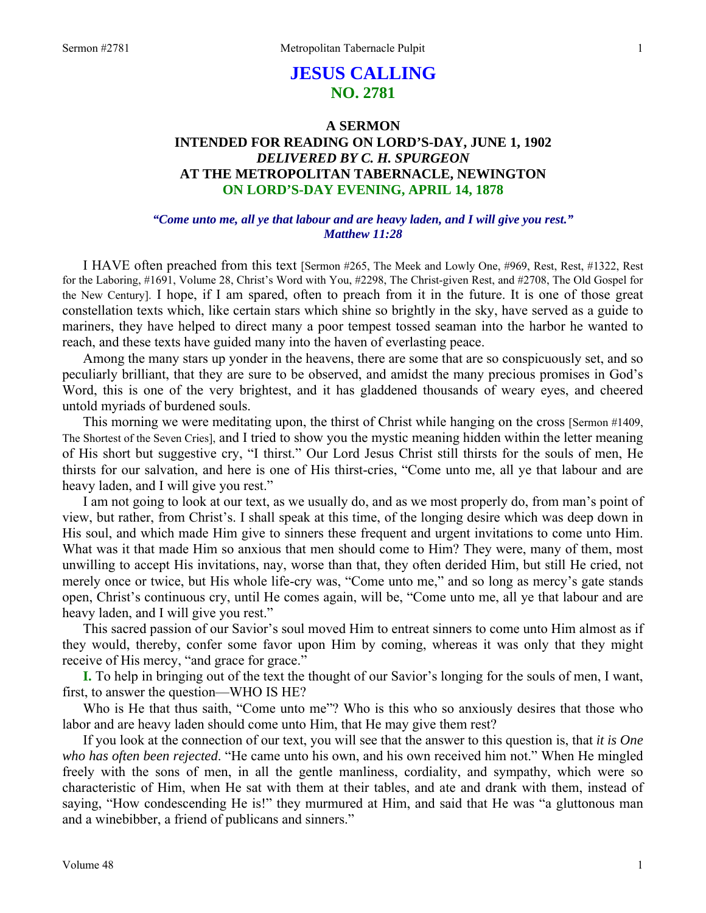# **JESUS CALLING NO. 2781**

# **A SERMON INTENDED FOR READING ON LORD'S-DAY, JUNE 1, 1902**  *DELIVERED BY C. H. SPURGEON*  **AT THE METROPOLITAN TABERNACLE, NEWINGTON ON LORD'S-DAY EVENING, APRIL 14, 1878**

### *"Come unto me, all ye that labour and are heavy laden, and I will give you rest." Matthew 11:28*

I HAVE often preached from this text [Sermon #265, The Meek and Lowly One, #969, Rest, Rest, #1322, Rest for the Laboring, #1691, Volume 28, Christ's Word with You, #2298, The Christ-given Rest, and #2708, The Old Gospel for the New Century]. I hope, if I am spared, often to preach from it in the future. It is one of those great constellation texts which, like certain stars which shine so brightly in the sky, have served as a guide to mariners, they have helped to direct many a poor tempest tossed seaman into the harbor he wanted to reach, and these texts have guided many into the haven of everlasting peace.

Among the many stars up yonder in the heavens, there are some that are so conspicuously set, and so peculiarly brilliant, that they are sure to be observed, and amidst the many precious promises in God's Word, this is one of the very brightest, and it has gladdened thousands of weary eyes, and cheered untold myriads of burdened souls.

This morning we were meditating upon, the thirst of Christ while hanging on the cross [Sermon #1409, The Shortest of the Seven Cries], and I tried to show you the mystic meaning hidden within the letter meaning of His short but suggestive cry, "I thirst." Our Lord Jesus Christ still thirsts for the souls of men, He thirsts for our salvation, and here is one of His thirst-cries, "Come unto me, all ye that labour and are heavy laden, and I will give you rest."

I am not going to look at our text, as we usually do, and as we most properly do, from man's point of view, but rather, from Christ's. I shall speak at this time, of the longing desire which was deep down in His soul, and which made Him give to sinners these frequent and urgent invitations to come unto Him. What was it that made Him so anxious that men should come to Him? They were, many of them, most unwilling to accept His invitations, nay, worse than that, they often derided Him, but still He cried, not merely once or twice, but His whole life-cry was, "Come unto me," and so long as mercy's gate stands open, Christ's continuous cry, until He comes again, will be, "Come unto me, all ye that labour and are heavy laden, and I will give you rest."

This sacred passion of our Savior's soul moved Him to entreat sinners to come unto Him almost as if they would, thereby, confer some favor upon Him by coming, whereas it was only that they might receive of His mercy, "and grace for grace."

**I.** To help in bringing out of the text the thought of our Savior's longing for the souls of men, I want, first, to answer the question—WHO IS HE?

Who is He that thus saith, "Come unto me"? Who is this who so anxiously desires that those who labor and are heavy laden should come unto Him, that He may give them rest?

If you look at the connection of our text, you will see that the answer to this question is, that *it is One who has often been rejected*. "He came unto his own, and his own received him not." When He mingled freely with the sons of men, in all the gentle manliness, cordiality, and sympathy, which were so characteristic of Him, when He sat with them at their tables, and ate and drank with them, instead of saying, "How condescending He is!" they murmured at Him, and said that He was "a gluttonous man and a winebibber, a friend of publicans and sinners."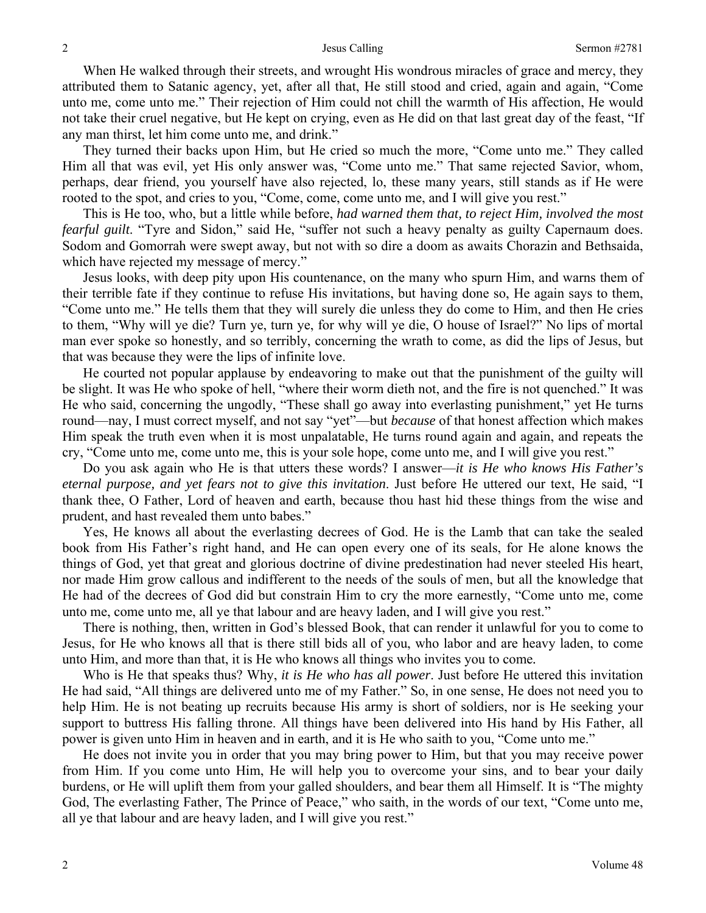When He walked through their streets, and wrought His wondrous miracles of grace and mercy, they attributed them to Satanic agency, yet, after all that, He still stood and cried, again and again, "Come unto me, come unto me." Their rejection of Him could not chill the warmth of His affection, He would not take their cruel negative, but He kept on crying, even as He did on that last great day of the feast, "If any man thirst, let him come unto me, and drink."

They turned their backs upon Him, but He cried so much the more, "Come unto me." They called Him all that was evil, yet His only answer was, "Come unto me." That same rejected Savior, whom, perhaps, dear friend, you yourself have also rejected, lo, these many years, still stands as if He were rooted to the spot, and cries to you, "Come, come, come unto me, and I will give you rest."

This is He too, who, but a little while before, *had warned them that, to reject Him, involved the most fearful guilt*. "Tyre and Sidon," said He, "suffer not such a heavy penalty as guilty Capernaum does. Sodom and Gomorrah were swept away, but not with so dire a doom as awaits Chorazin and Bethsaida, which have rejected my message of mercy."

Jesus looks, with deep pity upon His countenance, on the many who spurn Him, and warns them of their terrible fate if they continue to refuse His invitations, but having done so, He again says to them, "Come unto me." He tells them that they will surely die unless they do come to Him, and then He cries to them, "Why will ye die? Turn ye, turn ye, for why will ye die, O house of Israel?" No lips of mortal man ever spoke so honestly, and so terribly, concerning the wrath to come, as did the lips of Jesus, but that was because they were the lips of infinite love.

He courted not popular applause by endeavoring to make out that the punishment of the guilty will be slight. It was He who spoke of hell, "where their worm dieth not, and the fire is not quenched." It was He who said, concerning the ungodly, "These shall go away into everlasting punishment," yet He turns round—nay, I must correct myself, and not say "yet"—but *because* of that honest affection which makes Him speak the truth even when it is most unpalatable, He turns round again and again, and repeats the cry, "Come unto me, come unto me, this is your sole hope, come unto me, and I will give you rest."

Do you ask again who He is that utters these words? I answer—*it is He who knows His Father's eternal purpose, and yet fears not to give this invitation*. Just before He uttered our text, He said, "I thank thee, O Father, Lord of heaven and earth, because thou hast hid these things from the wise and prudent, and hast revealed them unto babes."

Yes, He knows all about the everlasting decrees of God. He is the Lamb that can take the sealed book from His Father's right hand, and He can open every one of its seals, for He alone knows the things of God, yet that great and glorious doctrine of divine predestination had never steeled His heart, nor made Him grow callous and indifferent to the needs of the souls of men, but all the knowledge that He had of the decrees of God did but constrain Him to cry the more earnestly, "Come unto me, come unto me, come unto me, all ye that labour and are heavy laden, and I will give you rest."

There is nothing, then, written in God's blessed Book, that can render it unlawful for you to come to Jesus, for He who knows all that is there still bids all of you, who labor and are heavy laden, to come unto Him, and more than that, it is He who knows all things who invites you to come*.* 

Who is He that speaks thus? Why, *it is He who has all power*. Just before He uttered this invitation He had said, "All things are delivered unto me of my Father." So, in one sense, He does not need you to help Him. He is not beating up recruits because His army is short of soldiers, nor is He seeking your support to buttress His falling throne. All things have been delivered into His hand by His Father, all power is given unto Him in heaven and in earth, and it is He who saith to you, "Come unto me."

He does not invite you in order that you may bring power to Him, but that you may receive power from Him. If you come unto Him, He will help you to overcome your sins, and to bear your daily burdens, or He will uplift them from your galled shoulders, and bear them all Himself. It is "The mighty God, The everlasting Father, The Prince of Peace," who saith, in the words of our text, "Come unto me, all ye that labour and are heavy laden, and I will give you rest."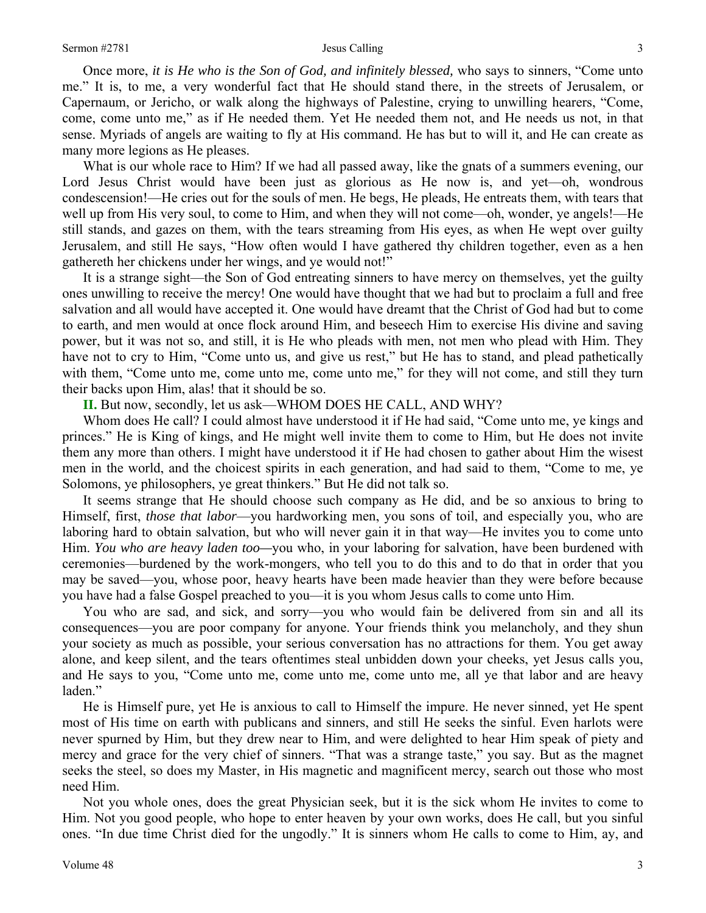Once more, *it is He who is the Son of God, and infinitely blessed,* who says to sinners, "Come unto me." It is, to me, a very wonderful fact that He should stand there, in the streets of Jerusalem, or Capernaum, or Jericho, or walk along the highways of Palestine, crying to unwilling hearers, "Come, come, come unto me," as if He needed them. Yet He needed them not, and He needs us not, in that sense. Myriads of angels are waiting to fly at His command. He has but to will it, and He can create as many more legions as He pleases.

What is our whole race to Him? If we had all passed away, like the gnats of a summers evening, our Lord Jesus Christ would have been just as glorious as He now is, and yet—oh, wondrous condescension!—He cries out for the souls of men. He begs, He pleads, He entreats them, with tears that well up from His very soul, to come to Him, and when they will not come—oh, wonder, ye angels!—He still stands, and gazes on them, with the tears streaming from His eyes, as when He wept over guilty Jerusalem, and still He says, "How often would I have gathered thy children together, even as a hen gathereth her chickens under her wings, and ye would not!"

It is a strange sight—the Son of God entreating sinners to have mercy on themselves, yet the guilty ones unwilling to receive the mercy! One would have thought that we had but to proclaim a full and free salvation and all would have accepted it. One would have dreamt that the Christ of God had but to come to earth, and men would at once flock around Him, and beseech Him to exercise His divine and saving power, but it was not so, and still, it is He who pleads with men, not men who plead with Him. They have not to cry to Him, "Come unto us, and give us rest," but He has to stand, and plead pathetically with them, "Come unto me, come unto me, come unto me," for they will not come, and still they turn their backs upon Him, alas! that it should be so.

## **II.** But now, secondly, let us ask—WHOM DOES HE CALL, AND WHY?

Whom does He call? I could almost have understood it if He had said, "Come unto me, ye kings and princes." He is King of kings, and He might well invite them to come to Him, but He does not invite them any more than others. I might have understood it if He had chosen to gather about Him the wisest men in the world, and the choicest spirits in each generation, and had said to them, "Come to me, ye Solomons, ye philosophers, ye great thinkers." But He did not talk so.

It seems strange that He should choose such company as He did, and be so anxious to bring to Himself, first, *those that labor*—you hardworking men, you sons of toil, and especially you, who are laboring hard to obtain salvation, but who will never gain it in that way—He invites you to come unto Him. *You who are heavy laden too—*you who, in your laboring for salvation, have been burdened with ceremonies—burdened by the work-mongers, who tell you to do this and to do that in order that you may be saved—you, whose poor, heavy hearts have been made heavier than they were before because you have had a false Gospel preached to you—it is you whom Jesus calls to come unto Him.

You who are sad, and sick, and sorry—you who would fain be delivered from sin and all its consequences—you are poor company for anyone. Your friends think you melancholy, and they shun your society as much as possible, your serious conversation has no attractions for them. You get away alone, and keep silent, and the tears oftentimes steal unbidden down your cheeks, yet Jesus calls you, and He says to you, "Come unto me, come unto me, come unto me, all ye that labor and are heavy laden."

He is Himself pure, yet He is anxious to call to Himself the impure. He never sinned, yet He spent most of His time on earth with publicans and sinners, and still He seeks the sinful. Even harlots were never spurned by Him, but they drew near to Him, and were delighted to hear Him speak of piety and mercy and grace for the very chief of sinners. "That was a strange taste," you say. But as the magnet seeks the steel, so does my Master, in His magnetic and magnificent mercy, search out those who most need Him.

Not you whole ones, does the great Physician seek, but it is the sick whom He invites to come to Him. Not you good people, who hope to enter heaven by your own works, does He call, but you sinful ones. "In due time Christ died for the ungodly." It is sinners whom He calls to come to Him, ay, and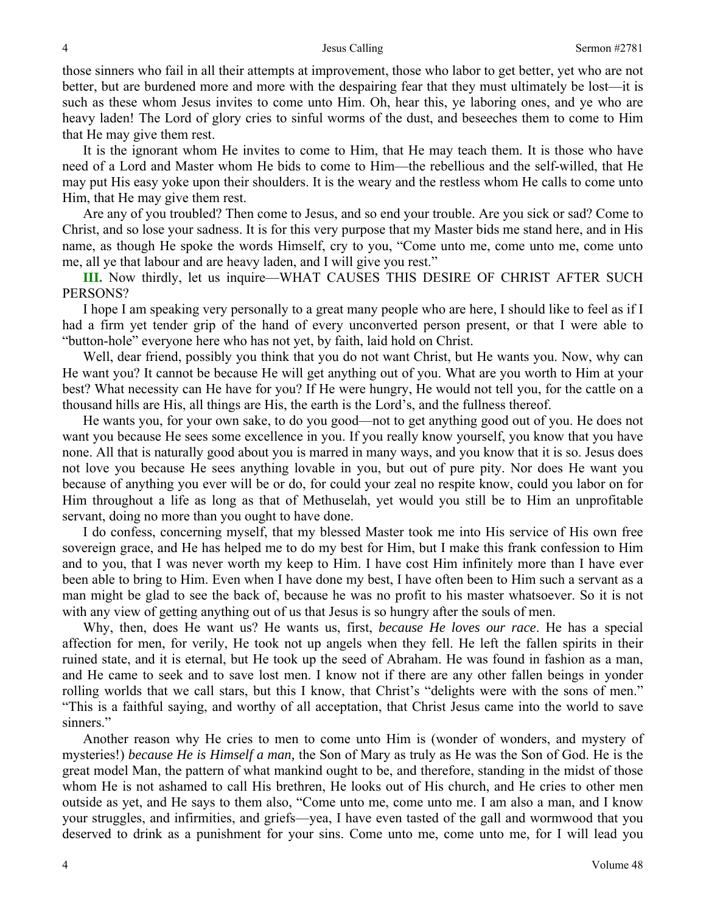those sinners who fail in all their attempts at improvement, those who labor to get better, yet who are not better, but are burdened more and more with the despairing fear that they must ultimately be lost—it is such as these whom Jesus invites to come unto Him. Oh, hear this, ye laboring ones, and ye who are heavy laden! The Lord of glory cries to sinful worms of the dust, and beseeches them to come to Him that He may give them rest.

It is the ignorant whom He invites to come to Him, that He may teach them. It is those who have need of a Lord and Master whom He bids to come to Him—the rebellious and the self-willed, that He may put His easy yoke upon their shoulders. It is the weary and the restless whom He calls to come unto Him, that He may give them rest.

Are any of you troubled? Then come to Jesus, and so end your trouble. Are you sick or sad? Come to Christ, and so lose your sadness. It is for this very purpose that my Master bids me stand here, and in His name, as though He spoke the words Himself, cry to you, "Come unto me, come unto me, come unto me, all ye that labour and are heavy laden, and I will give you rest."

**III.** Now thirdly, let us inquire—WHAT CAUSES THIS DESIRE OF CHRIST AFTER SUCH PERSONS?

I hope I am speaking very personally to a great many people who are here, I should like to feel as if I had a firm yet tender grip of the hand of every unconverted person present, or that I were able to "button-hole" everyone here who has not yet, by faith, laid hold on Christ.

Well, dear friend, possibly you think that you do not want Christ, but He wants you. Now, why can He want you? It cannot be because He will get anything out of you. What are you worth to Him at your best? What necessity can He have for you? If He were hungry, He would not tell you, for the cattle on a thousand hills are His, all things are His, the earth is the Lord's, and the fullness thereof.

He wants you, for your own sake, to do you good—not to get anything good out of you. He does not want you because He sees some excellence in you. If you really know yourself, you know that you have none. All that is naturally good about you is marred in many ways, and you know that it is so. Jesus does not love you because He sees anything lovable in you, but out of pure pity. Nor does He want you because of anything you ever will be or do, for could your zeal no respite know, could you labor on for Him throughout a life as long as that of Methuselah, yet would you still be to Him an unprofitable servant, doing no more than you ought to have done.

I do confess, concerning myself, that my blessed Master took me into His service of His own free sovereign grace, and He has helped me to do my best for Him, but I make this frank confession to Him and to you, that I was never worth my keep to Him. I have cost Him infinitely more than I have ever been able to bring to Him. Even when I have done my best, I have often been to Him such a servant as a man might be glad to see the back of, because he was no profit to his master whatsoever. So it is not with any view of getting anything out of us that Jesus is so hungry after the souls of men.

Why, then, does He want us? He wants us, first, *because He loves our race*. He has a special affection for men, for verily, He took not up angels when they fell. He left the fallen spirits in their ruined state, and it is eternal, but He took up the seed of Abraham. He was found in fashion as a man, and He came to seek and to save lost men. I know not if there are any other fallen beings in yonder rolling worlds that we call stars, but this I know, that Christ's "delights were with the sons of men." "This is a faithful saying, and worthy of all acceptation, that Christ Jesus came into the world to save sinners."

Another reason why He cries to men to come unto Him is (wonder of wonders, and mystery of mysteries!) *because He is Himself a man,* the Son of Mary as truly as He was the Son of God. He is the great model Man, the pattern of what mankind ought to be, and therefore, standing in the midst of those whom He is not ashamed to call His brethren, He looks out of His church, and He cries to other men outside as yet, and He says to them also, "Come unto me, come unto me. I am also a man, and I know your struggles, and infirmities, and griefs—yea, I have even tasted of the gall and wormwood that you deserved to drink as a punishment for your sins. Come unto me, come unto me, for I will lead you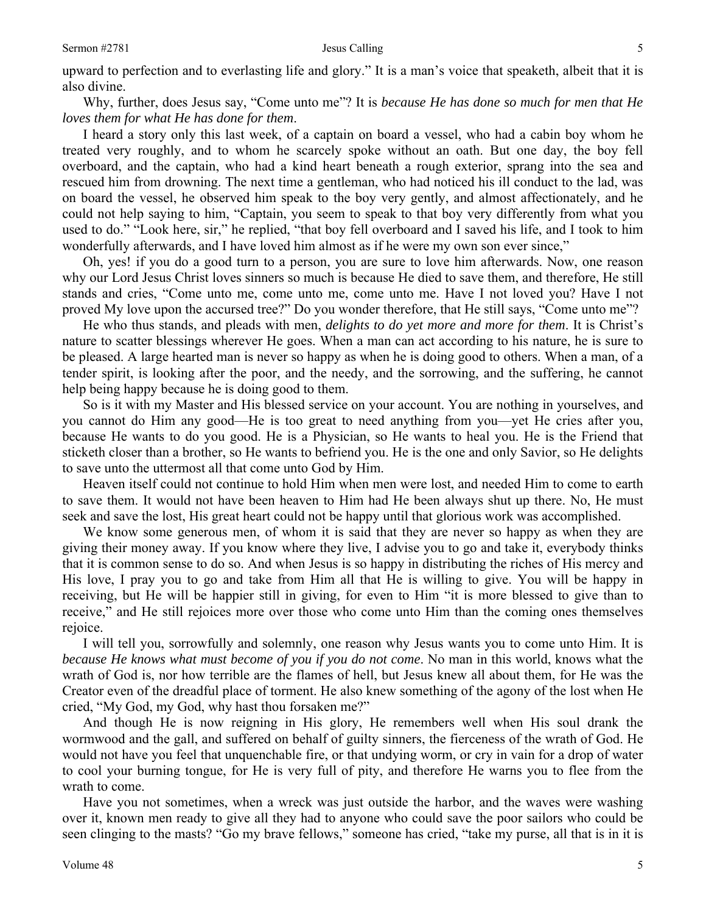Why, further, does Jesus say, "Come unto me"? It is *because He has done so much for men that He loves them for what He has done for them*.

I heard a story only this last week, of a captain on board a vessel, who had a cabin boy whom he treated very roughly, and to whom he scarcely spoke without an oath. But one day, the boy fell overboard, and the captain, who had a kind heart beneath a rough exterior, sprang into the sea and rescued him from drowning. The next time a gentleman, who had noticed his ill conduct to the lad, was on board the vessel, he observed him speak to the boy very gently, and almost affectionately, and he could not help saying to him, "Captain, you seem to speak to that boy very differently from what you used to do." "Look here, sir," he replied, "that boy fell overboard and I saved his life, and I took to him wonderfully afterwards, and I have loved him almost as if he were my own son ever since,"

Oh, yes! if you do a good turn to a person, you are sure to love him afterwards. Now, one reason why our Lord Jesus Christ loves sinners so much is because He died to save them, and therefore, He still stands and cries, "Come unto me, come unto me, come unto me. Have I not loved you? Have I not proved My love upon the accursed tree?" Do you wonder therefore, that He still says, "Come unto me"?

He who thus stands, and pleads with men, *delights to do yet more and more for them*. It is Christ's nature to scatter blessings wherever He goes. When a man can act according to his nature, he is sure to be pleased. A large hearted man is never so happy as when he is doing good to others. When a man, of a tender spirit, is looking after the poor, and the needy, and the sorrowing, and the suffering, he cannot help being happy because he is doing good to them.

So is it with my Master and His blessed service on your account. You are nothing in yourselves, and you cannot do Him any good—He is too great to need anything from you—yet He cries after you, because He wants to do you good. He is a Physician, so He wants to heal you. He is the Friend that sticketh closer than a brother, so He wants to befriend you. He is the one and only Savior, so He delights to save unto the uttermost all that come unto God by Him.

Heaven itself could not continue to hold Him when men were lost, and needed Him to come to earth to save them. It would not have been heaven to Him had He been always shut up there. No, He must seek and save the lost, His great heart could not be happy until that glorious work was accomplished.

We know some generous men, of whom it is said that they are never so happy as when they are giving their money away. If you know where they live, I advise you to go and take it, everybody thinks that it is common sense to do so. And when Jesus is so happy in distributing the riches of His mercy and His love, I pray you to go and take from Him all that He is willing to give. You will be happy in receiving, but He will be happier still in giving, for even to Him "it is more blessed to give than to receive," and He still rejoices more over those who come unto Him than the coming ones themselves rejoice.

I will tell you, sorrowfully and solemnly, one reason why Jesus wants you to come unto Him. It is *because He knows what must become of you if you do not come*. No man in this world, knows what the wrath of God is, nor how terrible are the flames of hell, but Jesus knew all about them, for He was the Creator even of the dreadful place of torment. He also knew something of the agony of the lost when He cried, "My God, my God, why hast thou forsaken me?"

And though He is now reigning in His glory, He remembers well when His soul drank the wormwood and the gall, and suffered on behalf of guilty sinners, the fierceness of the wrath of God. He would not have you feel that unquenchable fire, or that undying worm, or cry in vain for a drop of water to cool your burning tongue, for He is very full of pity, and therefore He warns you to flee from the wrath to come.

Have you not sometimes, when a wreck was just outside the harbor, and the waves were washing over it, known men ready to give all they had to anyone who could save the poor sailors who could be seen clinging to the masts? "Go my brave fellows," someone has cried, "take my purse, all that is in it is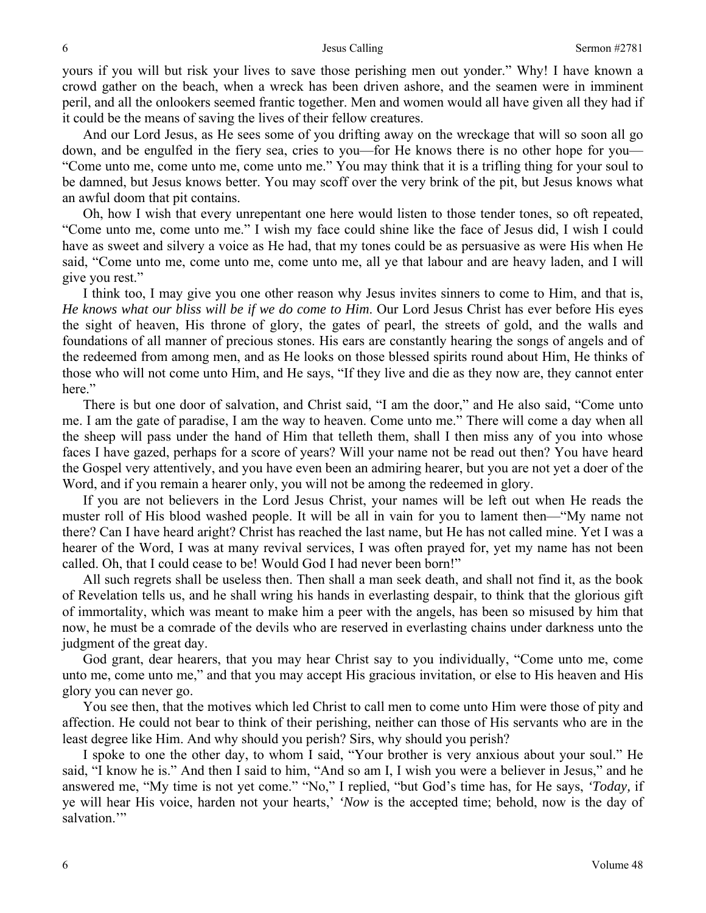yours if you will but risk your lives to save those perishing men out yonder." Why! I have known a crowd gather on the beach, when a wreck has been driven ashore, and the seamen were in imminent peril, and all the onlookers seemed frantic together. Men and women would all have given all they had if it could be the means of saving the lives of their fellow creatures.

And our Lord Jesus, as He sees some of you drifting away on the wreckage that will so soon all go down, and be engulfed in the fiery sea, cries to you—for He knows there is no other hope for you— "Come unto me, come unto me, come unto me." You may think that it is a trifling thing for your soul to be damned, but Jesus knows better. You may scoff over the very brink of the pit, but Jesus knows what an awful doom that pit contains.

Oh, how I wish that every unrepentant one here would listen to those tender tones, so oft repeated, "Come unto me, come unto me." I wish my face could shine like the face of Jesus did, I wish I could have as sweet and silvery a voice as He had, that my tones could be as persuasive as were His when He said, "Come unto me, come unto me, come unto me, all ye that labour and are heavy laden, and I will give you rest."

I think too, I may give you one other reason why Jesus invites sinners to come to Him, and that is, *He knows what our bliss will be if we do come to Him*. Our Lord Jesus Christ has ever before His eyes the sight of heaven, His throne of glory, the gates of pearl, the streets of gold, and the walls and foundations of all manner of precious stones. His ears are constantly hearing the songs of angels and of the redeemed from among men, and as He looks on those blessed spirits round about Him, He thinks of those who will not come unto Him, and He says, "If they live and die as they now are, they cannot enter here."

There is but one door of salvation, and Christ said, "I am the door," and He also said, "Come unto me. I am the gate of paradise, I am the way to heaven. Come unto me." There will come a day when all the sheep will pass under the hand of Him that telleth them, shall I then miss any of you into whose faces I have gazed, perhaps for a score of years? Will your name not be read out then? You have heard the Gospel very attentively, and you have even been an admiring hearer, but you are not yet a doer of the Word, and if you remain a hearer only, you will not be among the redeemed in glory.

If you are not believers in the Lord Jesus Christ, your names will be left out when He reads the muster roll of His blood washed people. It will be all in vain for you to lament then—"My name not there? Can I have heard aright? Christ has reached the last name, but He has not called mine. Yet I was a hearer of the Word, I was at many revival services, I was often prayed for, yet my name has not been called. Oh, that I could cease to be! Would God I had never been born!"

All such regrets shall be useless then. Then shall a man seek death, and shall not find it, as the book of Revelation tells us, and he shall wring his hands in everlasting despair, to think that the glorious gift of immortality, which was meant to make him a peer with the angels, has been so misused by him that now, he must be a comrade of the devils who are reserved in everlasting chains under darkness unto the judgment of the great day.

God grant, dear hearers, that you may hear Christ say to you individually, "Come unto me, come unto me, come unto me," and that you may accept His gracious invitation, or else to His heaven and His glory you can never go.

You see then, that the motives which led Christ to call men to come unto Him were those of pity and affection. He could not bear to think of their perishing, neither can those of His servants who are in the least degree like Him. And why should you perish? Sirs, why should you perish?

I spoke to one the other day, to whom I said, "Your brother is very anxious about your soul." He said, "I know he is." And then I said to him, "And so am I, I wish you were a believer in Jesus," and he answered me, "My time is not yet come." "No," I replied, "but God's time has, for He says, *'Today,* if ye will hear His voice, harden not your hearts,' *'Now* is the accepted time; behold, now is the day of salvation."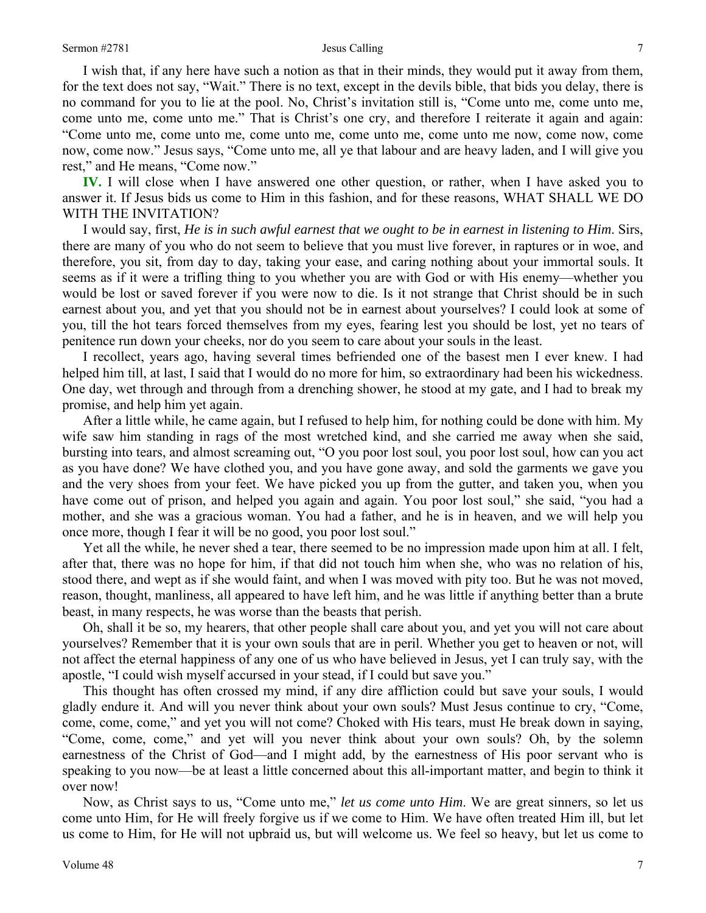I wish that, if any here have such a notion as that in their minds, they would put it away from them, for the text does not say, "Wait." There is no text, except in the devils bible, that bids you delay, there is no command for you to lie at the pool. No, Christ's invitation still is, "Come unto me, come unto me, come unto me, come unto me." That is Christ's one cry, and therefore I reiterate it again and again: "Come unto me, come unto me, come unto me, come unto me, come unto me now, come now, come now, come now." Jesus says, "Come unto me, all ye that labour and are heavy laden, and I will give you rest," and He means, "Come now."

**IV.** I will close when I have answered one other question, or rather, when I have asked you to answer it. If Jesus bids us come to Him in this fashion, and for these reasons, WHAT SHALL WE DO WITH THE INVITATION?

I would say, first, *He is in such awful earnest that we ought to be in earnest in listening to Him*. Sirs, there are many of you who do not seem to believe that you must live forever, in raptures or in woe, and therefore, you sit, from day to day, taking your ease, and caring nothing about your immortal souls. It seems as if it were a trifling thing to you whether you are with God or with His enemy—whether you would be lost or saved forever if you were now to die. Is it not strange that Christ should be in such earnest about you, and yet that you should not be in earnest about yourselves? I could look at some of you, till the hot tears forced themselves from my eyes, fearing lest you should be lost, yet no tears of penitence run down your cheeks, nor do you seem to care about your souls in the least.

I recollect, years ago, having several times befriended one of the basest men I ever knew. I had helped him till, at last, I said that I would do no more for him, so extraordinary had been his wickedness. One day, wet through and through from a drenching shower, he stood at my gate, and I had to break my promise, and help him yet again.

After a little while, he came again, but I refused to help him, for nothing could be done with him. My wife saw him standing in rags of the most wretched kind, and she carried me away when she said, bursting into tears, and almost screaming out, "O you poor lost soul, you poor lost soul, how can you act as you have done? We have clothed you, and you have gone away, and sold the garments we gave you and the very shoes from your feet. We have picked you up from the gutter, and taken you, when you have come out of prison, and helped you again and again. You poor lost soul," she said, "you had a mother, and she was a gracious woman. You had a father, and he is in heaven, and we will help you once more, though I fear it will be no good, you poor lost soul."

Yet all the while, he never shed a tear, there seemed to be no impression made upon him at all. I felt, after that, there was no hope for him, if that did not touch him when she, who was no relation of his, stood there, and wept as if she would faint, and when I was moved with pity too. But he was not moved, reason, thought, manliness, all appeared to have left him, and he was little if anything better than a brute beast, in many respects, he was worse than the beasts that perish.

Oh, shall it be so, my hearers, that other people shall care about you, and yet you will not care about yourselves? Remember that it is your own souls that are in peril. Whether you get to heaven or not, will not affect the eternal happiness of any one of us who have believed in Jesus, yet I can truly say, with the apostle, "I could wish myself accursed in your stead, if I could but save you."

This thought has often crossed my mind, if any dire affliction could but save your souls, I would gladly endure it. And will you never think about your own souls? Must Jesus continue to cry, "Come, come, come, come," and yet you will not come? Choked with His tears, must He break down in saying, "Come, come, come," and yet will you never think about your own souls? Oh, by the solemn earnestness of the Christ of God—and I might add, by the earnestness of His poor servant who is speaking to you now—be at least a little concerned about this all-important matter, and begin to think it over now!

Now, as Christ says to us, "Come unto me," *let us come unto Him*. We are great sinners, so let us come unto Him, for He will freely forgive us if we come to Him. We have often treated Him ill, but let us come to Him, for He will not upbraid us, but will welcome us. We feel so heavy, but let us come to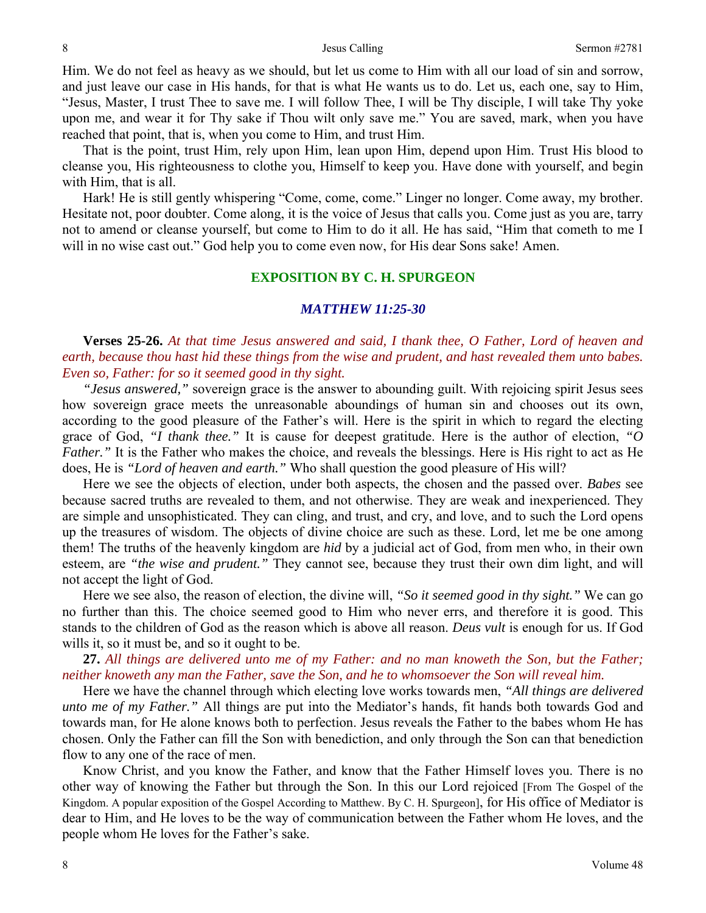Him. We do not feel as heavy as we should, but let us come to Him with all our load of sin and sorrow, and just leave our case in His hands, for that is what He wants us to do. Let us, each one, say to Him, "Jesus, Master, I trust Thee to save me. I will follow Thee, I will be Thy disciple, I will take Thy yoke upon me, and wear it for Thy sake if Thou wilt only save me." You are saved, mark, when you have reached that point, that is, when you come to Him, and trust Him.

That is the point, trust Him, rely upon Him, lean upon Him, depend upon Him. Trust His blood to cleanse you, His righteousness to clothe you, Himself to keep you. Have done with yourself, and begin with Him, that is all.

Hark! He is still gently whispering "Come, come, come." Linger no longer. Come away, my brother. Hesitate not, poor doubter. Come along, it is the voice of Jesus that calls you. Come just as you are, tarry not to amend or cleanse yourself, but come to Him to do it all. He has said, "Him that cometh to me I will in no wise cast out." God help you to come even now, for His dear Sons sake! Amen.

### **EXPOSITION BY C. H. SPURGEON**

### *MATTHEW 11:25-30*

**Verses 25-26.** *At that time Jesus answered and said, I thank thee, O Father, Lord of heaven and earth, because thou hast hid these things from the wise and prudent, and hast revealed them unto babes. Even so, Father: for so it seemed good in thy sight.* 

*"Jesus answered,"* sovereign grace is the answer to abounding guilt. With rejoicing spirit Jesus sees how sovereign grace meets the unreasonable aboundings of human sin and chooses out its own, according to the good pleasure of the Father's will. Here is the spirit in which to regard the electing grace of God, *"I thank thee."* It is cause for deepest gratitude. Here is the author of election, *"O Father.*" It is the Father who makes the choice, and reveals the blessings. Here is His right to act as He does, He is *"Lord of heaven and earth."* Who shall question the good pleasure of His will?

Here we see the objects of election, under both aspects, the chosen and the passed over. *Babes* see because sacred truths are revealed to them, and not otherwise. They are weak and inexperienced. They are simple and unsophisticated. They can cling, and trust, and cry, and love, and to such the Lord opens up the treasures of wisdom. The objects of divine choice are such as these. Lord, let me be one among them! The truths of the heavenly kingdom are *hid* by a judicial act of God, from men who, in their own esteem, are *"the wise and prudent."* They cannot see, because they trust their own dim light, and will not accept the light of God.

Here we see also, the reason of election, the divine will, *"So it seemed good in thy sight."* We can go no further than this. The choice seemed good to Him who never errs, and therefore it is good. This stands to the children of God as the reason which is above all reason. *Deus vult* is enough for us. If God wills it, so it must be, and so it ought to be.

**27.** *All things are delivered unto me of my Father: and no man knoweth the Son, but the Father; neither knoweth any man the Father, save the Son, and he to whomsoever the Son will reveal him.* 

Here we have the channel through which electing love works towards men, *"All things are delivered unto me of my Father."* All things are put into the Mediator's hands, fit hands both towards God and towards man, for He alone knows both to perfection. Jesus reveals the Father to the babes whom He has chosen. Only the Father can fill the Son with benediction, and only through the Son can that benediction flow to any one of the race of men.

Know Christ, and you know the Father, and know that the Father Himself loves you. There is no other way of knowing the Father but through the Son. In this our Lord rejoiced [From The Gospel of the Kingdom. A popular exposition of the Gospel According to Matthew. By C. H. Spurgeon], for His office of Mediator is dear to Him, and He loves to be the way of communication between the Father whom He loves, and the people whom He loves for the Father's sake.